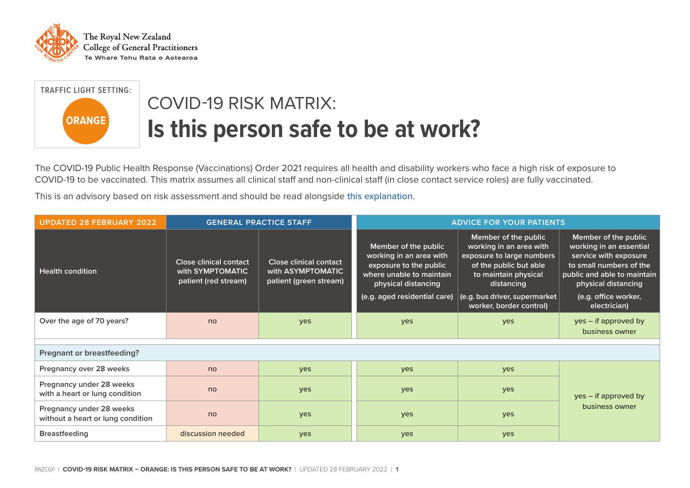



## COVID-19 RISK MATRIX: **Is this person safe to be at work?**

The COVID-19 Public Health Response (Vaccinations) Order 2021 requires all health and disability workers who face a high risk of exposure to COVID-19 to be vaccinated. This matrix assumes all clinical staff and non-clinical staff (in close contact service roles) are fully vaccinated.

This is an advisory based on risk assessment and should be read alongside [this explanation](https://rnzcgp.org.nz/Covid19/Clinical/Risk_matrix_explanation.aspx).

| <b>UPDATED 28 FEBRUARY 2022</b>                               | <b>GENERAL PRACTICE STAFF</b>                                             |                                                                       | <b>ADVICE FOR YOUR PATIENTS</b>                                                                                                                              |                                                                                                                                                                                                          |                                                                                                                                                                                                   |
|---------------------------------------------------------------|---------------------------------------------------------------------------|-----------------------------------------------------------------------|--------------------------------------------------------------------------------------------------------------------------------------------------------------|----------------------------------------------------------------------------------------------------------------------------------------------------------------------------------------------------------|---------------------------------------------------------------------------------------------------------------------------------------------------------------------------------------------------|
| <b>Health condition</b>                                       | <b>Close clinical contact</b><br>with SYMPTOMATIC<br>patient (red stream) | Close clinical contact<br>with ASYMPTOMATIC<br>patient (green stream) | Member of the public<br>working in an area with<br>exposure to the public<br>where unable to maintain<br>physical distancing<br>(e.g. aged residential care) | Member of the public<br>working in an area with<br>exposure to large numbers<br>of the public but able<br>to maintain physical<br>distancing<br>(e.g. bus driver, supermarket<br>worker, border control) | Member of the public<br>working in an essential<br>service with exposure<br>to small numbers of the<br>public and able to maintain<br>physical distancing<br>(e.g. office worker,<br>electrician) |
| Over the age of 70 years?                                     | no                                                                        | <b>ves</b>                                                            | yes                                                                                                                                                          | <b>ves</b>                                                                                                                                                                                               | yes – if approved by<br>business owner                                                                                                                                                            |
| Pregnant or breastfeeding?                                    |                                                                           |                                                                       |                                                                                                                                                              |                                                                                                                                                                                                          |                                                                                                                                                                                                   |
| Pregnancy over 28 weeks                                       | no                                                                        | yes                                                                   | yes                                                                                                                                                          | yes                                                                                                                                                                                                      |                                                                                                                                                                                                   |
| Pregnancy under 28 weeks<br>with a heart or lung condition    | no                                                                        | yes                                                                   | yes                                                                                                                                                          | yes                                                                                                                                                                                                      | yes – if approved by                                                                                                                                                                              |
| Pregnancy under 28 weeks<br>without a heart or lung condition | no                                                                        | yes                                                                   | yes                                                                                                                                                          | yes                                                                                                                                                                                                      | business owner                                                                                                                                                                                    |
| <b>Breastfeeding</b>                                          | discussion needed                                                         | yes                                                                   | yes                                                                                                                                                          | yes                                                                                                                                                                                                      |                                                                                                                                                                                                   |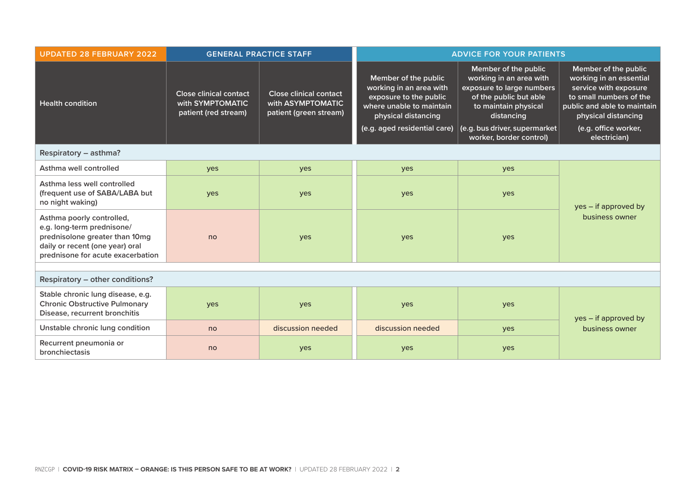| <b>UPDATED 28 FEBRUARY 2022</b>                                                                                                                                   | <b>GENERAL PRACTICE STAFF</b>                                             |                                                                              | <b>ADVICE FOR YOUR PATIENTS</b>                                                                                                                              |                                                                                                                                                                                                          |                                                                                                                                                                                                   |  |
|-------------------------------------------------------------------------------------------------------------------------------------------------------------------|---------------------------------------------------------------------------|------------------------------------------------------------------------------|--------------------------------------------------------------------------------------------------------------------------------------------------------------|----------------------------------------------------------------------------------------------------------------------------------------------------------------------------------------------------------|---------------------------------------------------------------------------------------------------------------------------------------------------------------------------------------------------|--|
| <b>Health condition</b>                                                                                                                                           | <b>Close clinical contact</b><br>with SYMPTOMATIC<br>patient (red stream) | <b>Close clinical contact</b><br>with ASYMPTOMATIC<br>patient (green stream) | Member of the public<br>working in an area with<br>exposure to the public<br>where unable to maintain<br>physical distancing<br>(e.g. aged residential care) | Member of the public<br>working in an area with<br>exposure to large numbers<br>of the public but able<br>to maintain physical<br>distancing<br>(e.g. bus driver, supermarket<br>worker, border control) | Member of the public<br>working in an essential<br>service with exposure<br>to small numbers of the<br>public and able to maintain<br>physical distancing<br>(e.g. office worker,<br>electrician) |  |
| Respiratory - asthma?                                                                                                                                             |                                                                           |                                                                              |                                                                                                                                                              |                                                                                                                                                                                                          |                                                                                                                                                                                                   |  |
| Asthma well controlled                                                                                                                                            | yes                                                                       | yes                                                                          | yes                                                                                                                                                          | yes                                                                                                                                                                                                      |                                                                                                                                                                                                   |  |
| Asthma less well controlled<br>(frequent use of SABA/LABA but<br>no night waking)                                                                                 | yes                                                                       | yes                                                                          | yes                                                                                                                                                          | yes                                                                                                                                                                                                      | yes – if approved by<br>business owner                                                                                                                                                            |  |
| Asthma poorly controlled,<br>e.g. long-term prednisone/<br>prednisolone greater than 10mg<br>daily or recent (one year) oral<br>prednisone for acute exacerbation | no                                                                        | yes                                                                          | yes                                                                                                                                                          | yes                                                                                                                                                                                                      |                                                                                                                                                                                                   |  |
|                                                                                                                                                                   |                                                                           |                                                                              |                                                                                                                                                              |                                                                                                                                                                                                          |                                                                                                                                                                                                   |  |
| Respiratory - other conditions?                                                                                                                                   |                                                                           |                                                                              |                                                                                                                                                              |                                                                                                                                                                                                          |                                                                                                                                                                                                   |  |
| Stable chronic lung disease, e.g.<br><b>Chronic Obstructive Pulmonary</b><br>Disease, recurrent bronchitis                                                        | yes                                                                       | yes                                                                          | yes                                                                                                                                                          | yes                                                                                                                                                                                                      | yes – if approved by                                                                                                                                                                              |  |
| Unstable chronic lung condition                                                                                                                                   | no                                                                        | discussion needed                                                            | discussion needed                                                                                                                                            | yes                                                                                                                                                                                                      | business owner                                                                                                                                                                                    |  |
| Recurrent pneumonia or<br>bronchiectasis                                                                                                                          | no                                                                        | yes                                                                          | yes                                                                                                                                                          | yes                                                                                                                                                                                                      |                                                                                                                                                                                                   |  |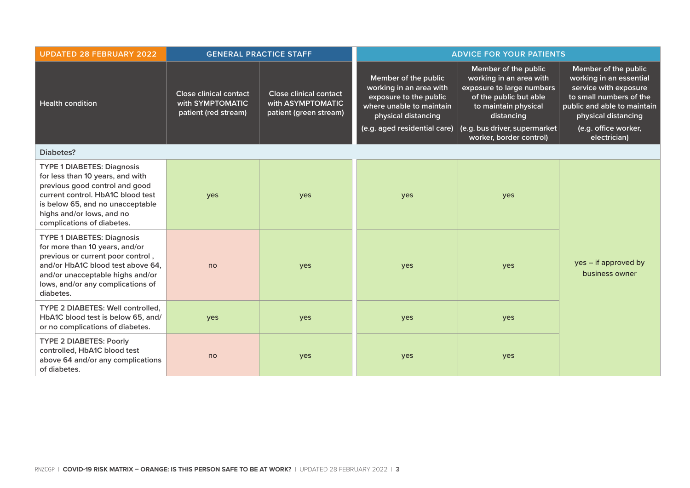| <b>UPDATED 28 FEBRUARY 2022</b>                                                                                                                                                                                                             | <b>GENERAL PRACTICE STAFF</b>                                             |                                                                              | <b>ADVICE FOR YOUR PATIENTS</b>                                                                                                                              |                                                                                                                                                                                                          |                                                                                                                                                                                                   |
|---------------------------------------------------------------------------------------------------------------------------------------------------------------------------------------------------------------------------------------------|---------------------------------------------------------------------------|------------------------------------------------------------------------------|--------------------------------------------------------------------------------------------------------------------------------------------------------------|----------------------------------------------------------------------------------------------------------------------------------------------------------------------------------------------------------|---------------------------------------------------------------------------------------------------------------------------------------------------------------------------------------------------|
| Health condition                                                                                                                                                                                                                            | <b>Close clinical contact</b><br>with SYMPTOMATIC<br>patient (red stream) | <b>Close clinical contact</b><br>with ASYMPTOMATIC<br>patient (green stream) | Member of the public<br>working in an area with<br>exposure to the public<br>where unable to maintain<br>physical distancing<br>(e.g. aged residential care) | Member of the public<br>working in an area with<br>exposure to large numbers<br>of the public but able<br>to maintain physical<br>distancing<br>(e.g. bus driver, supermarket<br>worker, border control) | Member of the public<br>working in an essential<br>service with exposure<br>to small numbers of the<br>public and able to maintain<br>physical distancing<br>(e.g. office worker,<br>electrician) |
| Diabetes?                                                                                                                                                                                                                                   |                                                                           |                                                                              |                                                                                                                                                              |                                                                                                                                                                                                          |                                                                                                                                                                                                   |
| <b>TYPE 1 DIABETES: Diagnosis</b><br>for less than 10 years, and with<br>previous good control and good<br>current control. HbA1C blood test<br>is below 65, and no unacceptable<br>highs and/or lows, and no<br>complications of diabetes. | yes                                                                       | yes                                                                          | yes                                                                                                                                                          | yes                                                                                                                                                                                                      |                                                                                                                                                                                                   |
| <b>TYPE 1 DIABETES: Diagnosis</b><br>for more than 10 years, and/or<br>previous or current poor control,<br>and/or HbA1C blood test above 64,<br>and/or unacceptable highs and/or<br>lows, and/or any complications of<br>diabetes.         | no                                                                        | yes                                                                          | yes                                                                                                                                                          | yes                                                                                                                                                                                                      | yes – if approved by<br>business owner                                                                                                                                                            |
| TYPE 2 DIABETES: Well controlled,<br>HbA1C blood test is below 65, and/<br>or no complications of diabetes.                                                                                                                                 | yes                                                                       | yes                                                                          | yes                                                                                                                                                          | yes                                                                                                                                                                                                      |                                                                                                                                                                                                   |
| <b>TYPE 2 DIABETES: Poorly</b><br>controlled, HbA1C blood test<br>above 64 and/or any complications<br>of diabetes.                                                                                                                         | no                                                                        | yes                                                                          | yes                                                                                                                                                          | yes                                                                                                                                                                                                      |                                                                                                                                                                                                   |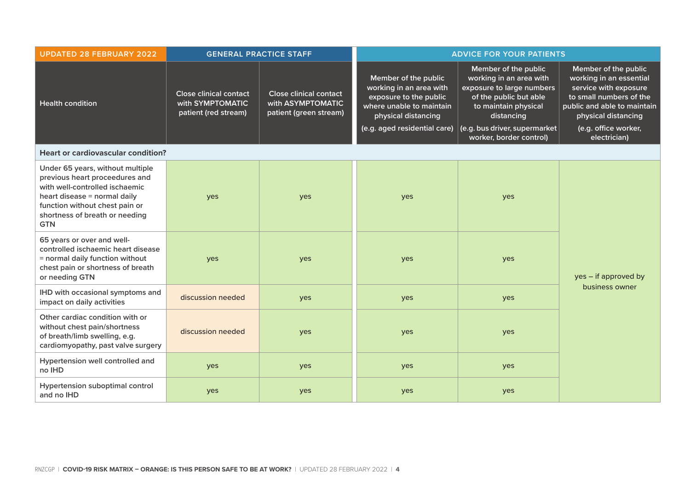| <b>UPDATED 28 FEBRUARY 2022</b>                                                                                                                                                                                        | <b>GENERAL PRACTICE STAFF</b>                                             |                                                                              | <b>ADVICE FOR YOUR PATIENTS</b>                                                                                                                              |                                                                                                                                                                                                          |                                                                                                                                                                                                   |
|------------------------------------------------------------------------------------------------------------------------------------------------------------------------------------------------------------------------|---------------------------------------------------------------------------|------------------------------------------------------------------------------|--------------------------------------------------------------------------------------------------------------------------------------------------------------|----------------------------------------------------------------------------------------------------------------------------------------------------------------------------------------------------------|---------------------------------------------------------------------------------------------------------------------------------------------------------------------------------------------------|
| <b>Health condition</b>                                                                                                                                                                                                | <b>Close clinical contact</b><br>with SYMPTOMATIC<br>patient (red stream) | <b>Close clinical contact</b><br>with ASYMPTOMATIC<br>patient (green stream) | Member of the public<br>working in an area with<br>exposure to the public<br>where unable to maintain<br>physical distancing<br>(e.g. aged residential care) | Member of the public<br>working in an area with<br>exposure to large numbers<br>of the public but able<br>to maintain physical<br>distancing<br>(e.g. bus driver, supermarket<br>worker, border control) | Member of the public<br>working in an essential<br>service with exposure<br>to small numbers of the<br>public and able to maintain<br>physical distancing<br>(e.g. office worker,<br>electrician) |
| <b>Heart or cardiovascular condition?</b>                                                                                                                                                                              |                                                                           |                                                                              |                                                                                                                                                              |                                                                                                                                                                                                          |                                                                                                                                                                                                   |
| Under 65 years, without multiple<br>previous heart proceedures and<br>with well-controlled ischaemic<br>heart disease = normal daily<br>function without chest pain or<br>shortness of breath or needing<br><b>GTN</b> | yes                                                                       | yes                                                                          | yes                                                                                                                                                          | yes                                                                                                                                                                                                      |                                                                                                                                                                                                   |
| 65 years or over and well-<br>controlled ischaemic heart disease<br>= normal daily function without<br>chest pain or shortness of breath<br>or needing GTN                                                             | yes                                                                       | yes                                                                          | yes                                                                                                                                                          | yes                                                                                                                                                                                                      | yes – if approved by                                                                                                                                                                              |
| IHD with occasional symptoms and<br>impact on daily activities                                                                                                                                                         | discussion needed                                                         | yes                                                                          | yes                                                                                                                                                          | yes                                                                                                                                                                                                      | business owner                                                                                                                                                                                    |
| Other cardiac condition with or<br>without chest pain/shortness<br>of breath/limb swelling, e.g.<br>cardiomyopathy, past valve surgery                                                                                 | discussion needed                                                         | yes                                                                          | yes                                                                                                                                                          | yes                                                                                                                                                                                                      |                                                                                                                                                                                                   |
| Hypertension well controlled and<br>no IHD                                                                                                                                                                             | yes                                                                       | yes                                                                          | yes                                                                                                                                                          | yes                                                                                                                                                                                                      |                                                                                                                                                                                                   |
| Hypertension suboptimal control<br>and no IHD                                                                                                                                                                          | yes                                                                       | yes                                                                          | yes                                                                                                                                                          | yes                                                                                                                                                                                                      |                                                                                                                                                                                                   |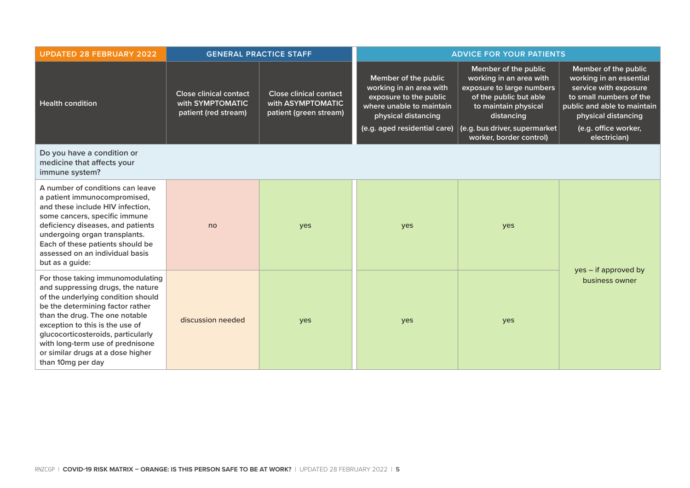| <b>UPDATED 28 FEBRUARY 2022</b>                                                                                                                                                                                                                                                                                                                           | <b>GENERAL PRACTICE STAFF</b>                                             |                                                                              | <b>ADVICE FOR YOUR PATIENTS</b>                                                                                                                              |                                                                                                                                                                                                          |                                                                                                                                                                                                   |
|-----------------------------------------------------------------------------------------------------------------------------------------------------------------------------------------------------------------------------------------------------------------------------------------------------------------------------------------------------------|---------------------------------------------------------------------------|------------------------------------------------------------------------------|--------------------------------------------------------------------------------------------------------------------------------------------------------------|----------------------------------------------------------------------------------------------------------------------------------------------------------------------------------------------------------|---------------------------------------------------------------------------------------------------------------------------------------------------------------------------------------------------|
| <b>Health condition</b>                                                                                                                                                                                                                                                                                                                                   | <b>Close clinical contact</b><br>with SYMPTOMATIC<br>patient (red stream) | <b>Close clinical contact</b><br>with ASYMPTOMATIC<br>patient (green stream) | Member of the public<br>working in an area with<br>exposure to the public<br>where unable to maintain<br>physical distancing<br>(e.g. aged residential care) | Member of the public<br>working in an area with<br>exposure to large numbers<br>of the public but able<br>to maintain physical<br>distancing<br>(e.g. bus driver, supermarket<br>worker, border control) | Member of the public<br>working in an essential<br>service with exposure<br>to small numbers of the<br>public and able to maintain<br>physical distancing<br>(e.g. office worker,<br>electrician) |
| Do you have a condition or<br>medicine that affects your<br>immune system?                                                                                                                                                                                                                                                                                |                                                                           |                                                                              |                                                                                                                                                              |                                                                                                                                                                                                          |                                                                                                                                                                                                   |
| A number of conditions can leave<br>a patient immunocompromised,<br>and these include HIV infection,<br>some cancers, specific immune<br>deficiency diseases, and patients<br>undergoing organ transplants.<br>Each of these patients should be<br>assessed on an individual basis<br>but as a guide:                                                     | no                                                                        | yes                                                                          | yes                                                                                                                                                          | yes                                                                                                                                                                                                      | yes – if approved by                                                                                                                                                                              |
| For those taking immunomodulating<br>and suppressing drugs, the nature<br>of the underlying condition should<br>be the determining factor rather<br>than the drug. The one notable<br>exception to this is the use of<br>glucocorticosteroids, particularly<br>with long-term use of prednisone<br>or similar drugs at a dose higher<br>than 10mg per day | discussion needed                                                         | yes                                                                          | yes                                                                                                                                                          | yes                                                                                                                                                                                                      | business owner                                                                                                                                                                                    |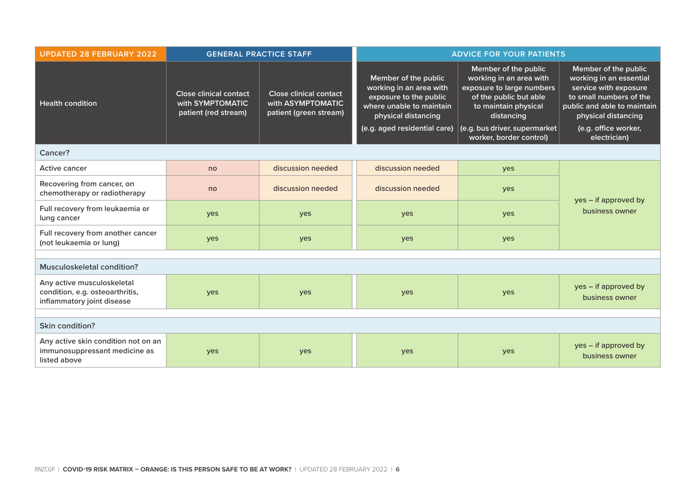| <b>UPDATED 28 FEBRUARY 2022</b>                                                             | <b>GENERAL PRACTICE STAFF</b>                                             |                                                                              | <b>ADVICE FOR YOUR PATIENTS</b>                                                                                                                              |                                                                                                                                                                                                          |                                                                                                                                                                                                   |  |
|---------------------------------------------------------------------------------------------|---------------------------------------------------------------------------|------------------------------------------------------------------------------|--------------------------------------------------------------------------------------------------------------------------------------------------------------|----------------------------------------------------------------------------------------------------------------------------------------------------------------------------------------------------------|---------------------------------------------------------------------------------------------------------------------------------------------------------------------------------------------------|--|
| <b>Health condition</b>                                                                     | <b>Close clinical contact</b><br>with SYMPTOMATIC<br>patient (red stream) | <b>Close clinical contact</b><br>with ASYMPTOMATIC<br>patient (green stream) | Member of the public<br>working in an area with<br>exposure to the public<br>where unable to maintain<br>physical distancing<br>(e.g. aged residential care) | Member of the public<br>working in an area with<br>exposure to large numbers<br>of the public but able<br>to maintain physical<br>distancing<br>(e.g. bus driver, supermarket<br>worker, border control) | Member of the public<br>working in an essential<br>service with exposure<br>to small numbers of the<br>public and able to maintain<br>physical distancing<br>(e.g. office worker,<br>electrician) |  |
| Cancer?                                                                                     |                                                                           |                                                                              |                                                                                                                                                              |                                                                                                                                                                                                          |                                                                                                                                                                                                   |  |
| <b>Active cancer</b>                                                                        | no                                                                        | discussion needed                                                            | discussion needed                                                                                                                                            | yes                                                                                                                                                                                                      |                                                                                                                                                                                                   |  |
| Recovering from cancer, on<br>chemotherapy or radiotherapy                                  | no                                                                        | discussion needed                                                            | discussion needed                                                                                                                                            | yes                                                                                                                                                                                                      | yes - if approved by<br>business owner                                                                                                                                                            |  |
| Full recovery from leukaemia or<br>lung cancer                                              | yes                                                                       | yes                                                                          | yes                                                                                                                                                          | yes                                                                                                                                                                                                      |                                                                                                                                                                                                   |  |
| Full recovery from another cancer<br>(not leukaemia or lung)                                | yes                                                                       | yes                                                                          | yes                                                                                                                                                          | yes                                                                                                                                                                                                      |                                                                                                                                                                                                   |  |
|                                                                                             |                                                                           |                                                                              |                                                                                                                                                              |                                                                                                                                                                                                          |                                                                                                                                                                                                   |  |
| <b>Musculoskeletal condition?</b>                                                           |                                                                           |                                                                              |                                                                                                                                                              |                                                                                                                                                                                                          |                                                                                                                                                                                                   |  |
| Any active musculoskeletal<br>condition, e.g. osteoarthritis,<br>inflammatory joint disease | yes                                                                       | yes                                                                          | yes                                                                                                                                                          | yes                                                                                                                                                                                                      | yes - if approved by<br>business owner                                                                                                                                                            |  |
|                                                                                             |                                                                           |                                                                              |                                                                                                                                                              |                                                                                                                                                                                                          |                                                                                                                                                                                                   |  |
| <b>Skin condition?</b>                                                                      |                                                                           |                                                                              |                                                                                                                                                              |                                                                                                                                                                                                          |                                                                                                                                                                                                   |  |
| Any active skin condition not on an<br>immunosuppressant medicine as<br>listed above        | yes                                                                       | yes                                                                          | yes                                                                                                                                                          | yes                                                                                                                                                                                                      | yes - if approved by<br>business owner                                                                                                                                                            |  |